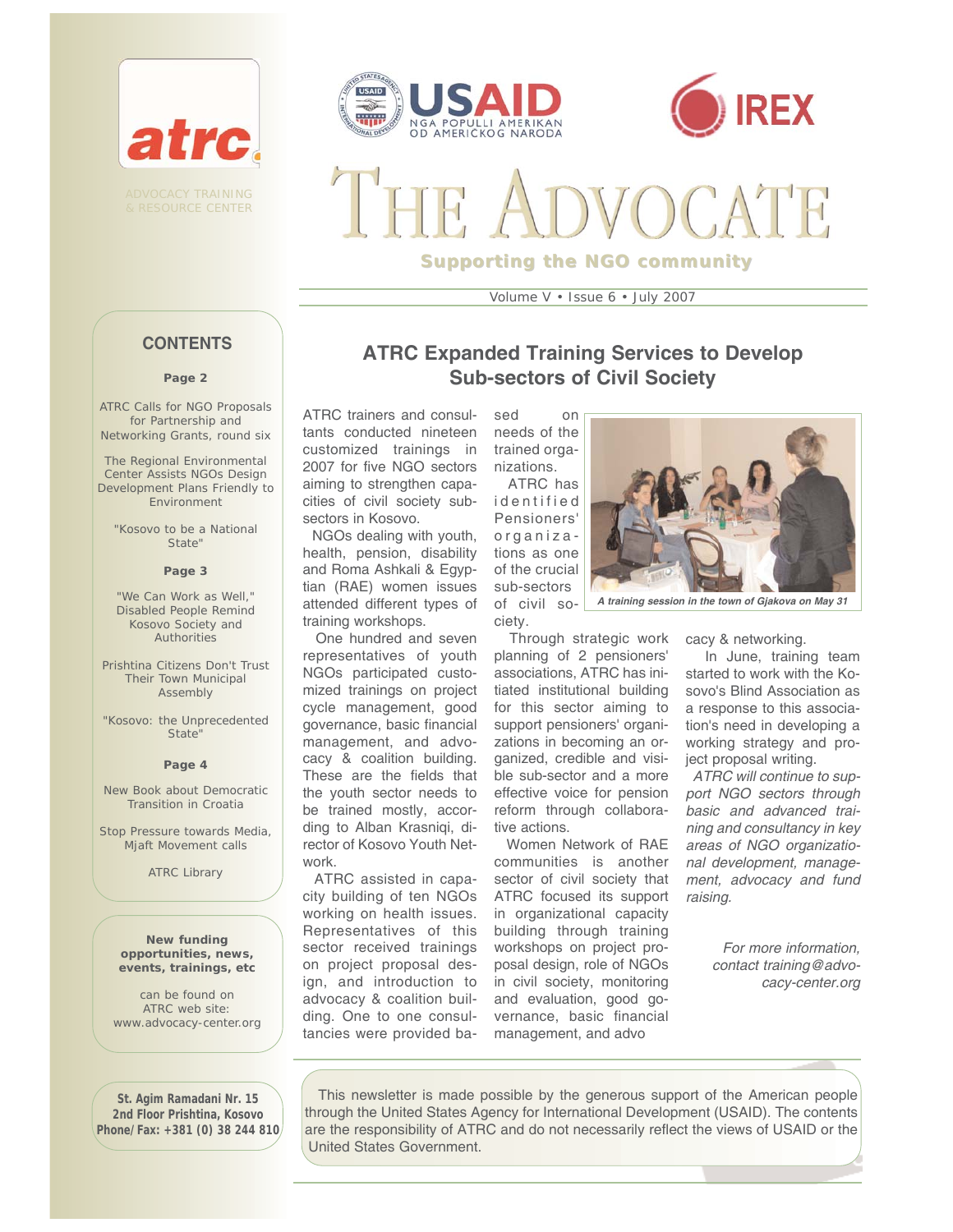





**Supporting the NGO community**

Volume V • Issue 6 • July 2007

# **CONTENTS**

#### **Page 2**

ATRC Calls for NGO Proposals for Partnership and Networking Grants, round six

The Regional Environmental Center Assists NGOs Design Development Plans Friendly to Environment

"Kosovo to be a National State"

### **Page 3**

"We Can Work as Well," Disabled People Remind Kosovo Society and **Authorities** 

Prishtina Citizens Don't Trust Their Town Municipal Assembly

"Kosovo: the Unprecedented State"

#### **Page 4**

New Book about Democratic Transition in Croatia

Stop Pressure towards Media Mjaft Movement calls

ATRC Library

**New funding opportunities, news, events, trainings, etc** 

can be found on ATRC web site: www.advocacy-center.org

**St. Agim Ramadani Nr. 15 2nd Floor Prishtina, Kosovo Phone/Fax: +381 (0) 38 244 810**

### **ATRC Expanded Training Services to Develop Sub-sectors of Civil Society**

ATRC trainers and consultants conducted nineteen customized trainings in 2007 for five NGO sectors aiming to strengthen capacities of civil society subsectors in Kosovo.

NGOs dealing with youth, health, pension, disability and Roma Ashkali & Egyptian (RAE) women issues attended different types of training workshops.

One hundred and seven representatives of youth NGOs participated customized trainings on project cycle management, good governance, basic financial management, and advocacy & coalition building. These are the fields that the youth sector needs to be trained mostly, according to Alban Krasniqi, director of Kosovo Youth Network.

ATRC assisted in capacity building of ten NGOs working on health issues. Representatives of this sector received trainings on project proposal design, and introduction to advocacy & coalition building. One to one consultancies were provided ba-

sed on needs of the trained organizations. ATRC has

identified Pensioners' organizations as one of the crucial sub-sectors of civil so-

ciety.



*A training session in the town of Gjakova on May 31*

Through strategic work planning of 2 pensioners' associations, ATRC has initiated institutional building for this sector aiming to support pensioners' organizations in becoming an organized, credible and visible sub-sector and a more effective voice for pension reform through collaborative actions.

Women Network of RAE communities is another sector of civil society that ATRC focused its support in organizational capacity building through training workshops on project proposal design, role of NGOs in civil society, monitoring and evaluation, good governance, basic financial management, and advo

cacy & networking.

In June, training team started to work with the Kosovo's Blind Association as a response to this association's need in developing a working strategy and project proposal writing.

*ATRC will continue to support NGO sectors through basic and advanced training and consultancy in key areas of NGO organizational development, management, advocacy and fund raising.*

> *For more information, contact training@advocacy-center.org*

This newsletter is made possible by the generous support of the American people through the United States Agency for International Development (USAID). The contents are the responsibility of ATRC and do not necessarily reflect the views of USAID or the United States Government.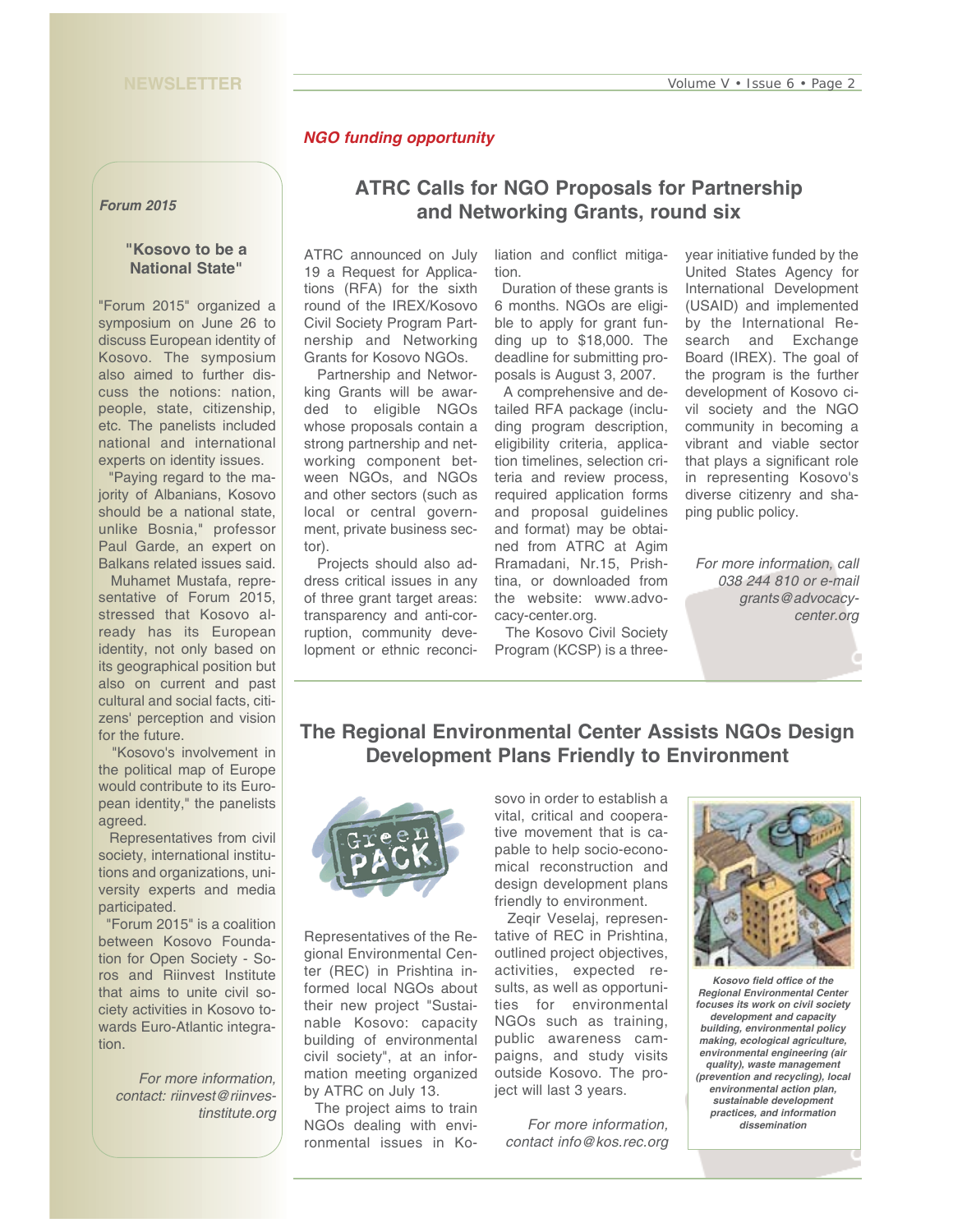### *NGO funding opportunity*

*Forum 2015*

### **"Kosovo to be a National State"**

"Forum 2015" organized a symposium on June 26 to discuss European identity of Kosovo. The symposium also aimed to further discuss the notions: nation, people, state, citizenship, etc. The panelists included national and international experts on identity issues.

"Paying regard to the majority of Albanians, Kosovo should be a national state, unlike Bosnia," professor Paul Garde, an expert on Balkans related issues said.

Muhamet Mustafa, representative of Forum 2015, stressed that Kosovo already has its European identity, not only based on its geographical position but also on current and past cultural and social facts, citizens' perception and vision for the future.

"Kosovo's involvement in the political map of Europe would contribute to its European identity," the panelists agreed.

Representatives from civil society, international institutions and organizations, university experts and media participated.

"Forum 2015" is a coalition between Kosovo Foundation for Open Society - Soros and Riinvest Institute that aims to unite civil society activities in Kosovo towards Euro-Atlantic integration.

*For more information, contact: riinvest@riinvestinstitute.org*

# **ATRC Calls for NGO Proposals for Partnership and Networking Grants, round six**

ATRC announced on July 19 a Request for Applications (RFA) for the sixth round of the IREX/Kosovo Civil Society Program Partnership and Networking Grants for Kosovo NGOs.

Partnership and Networking Grants will be awarded to eligible NGOs whose proposals contain a strong partnership and networking component between NGOs, and NGOs and other sectors (such as local or central government, private business sector).

Projects should also address critical issues in any of three grant target areas: transparency and anti-corruption, community development or ethnic reconciliation and conflict mitigation.

Duration of these grants is 6 months. NGOs are eligible to apply for grant funding up to \$18,000. The deadline for submitting proposals is August 3, 2007.

A comprehensive and detailed RFA package (including program description, eligibility criteria, application timelines, selection criteria and review process, required application forms and proposal guidelines and format) may be obtained from ATRC at Agim Rramadani, Nr.15, Prishtina, or downloaded from the website: www.advocacy-center.org.

The Kosovo Civil Society Program (KCSP) is a threeyear initiative funded by the United States Agency for International Development (USAID) and implemented by the International Research and Exchange Board (IREX). The goal of the program is the further development of Kosovo civil society and the NGO community in becoming a vibrant and viable sector that plays a significant role in representing Kosovo's diverse citizenry and shaping public policy.

*For more information, call 038 244 810 or e-mail grants@advocacycenter.org*

# **The Regional Environmental Center Assists NGOs Design Development Plans Friendly to Environment**



Representatives of the Regional Environmental Center (REC) in Prishtina informed local NGOs about their new project "Sustainable Kosovo: capacity building of environmental civil society", at an information meeting organized by ATRC on July 13.

The project aims to train NGOs dealing with environmental issues in Kosovo in order to establish a vital, critical and cooperative movement that is capable to help socio-economical reconstruction and design development plans friendly to environment.

Zeqir Veselaj, representative of REC in Prishtina, outlined project objectives, activities, expected results, as well as opportunities for environmental NGOs such as training, public awareness campaigns, and study visits outside Kosovo. The project will last 3 years.

*For more information, contact info@kos.rec.org*



*Kosovo field office of the Regional Environmental Center focuses its work on civil society development and capacity building, environmental policy making, ecological agriculture, environmental engineering (air quality), waste management (prevention and recycling), local environmental action plan, sustainable development practices, and information dissemination*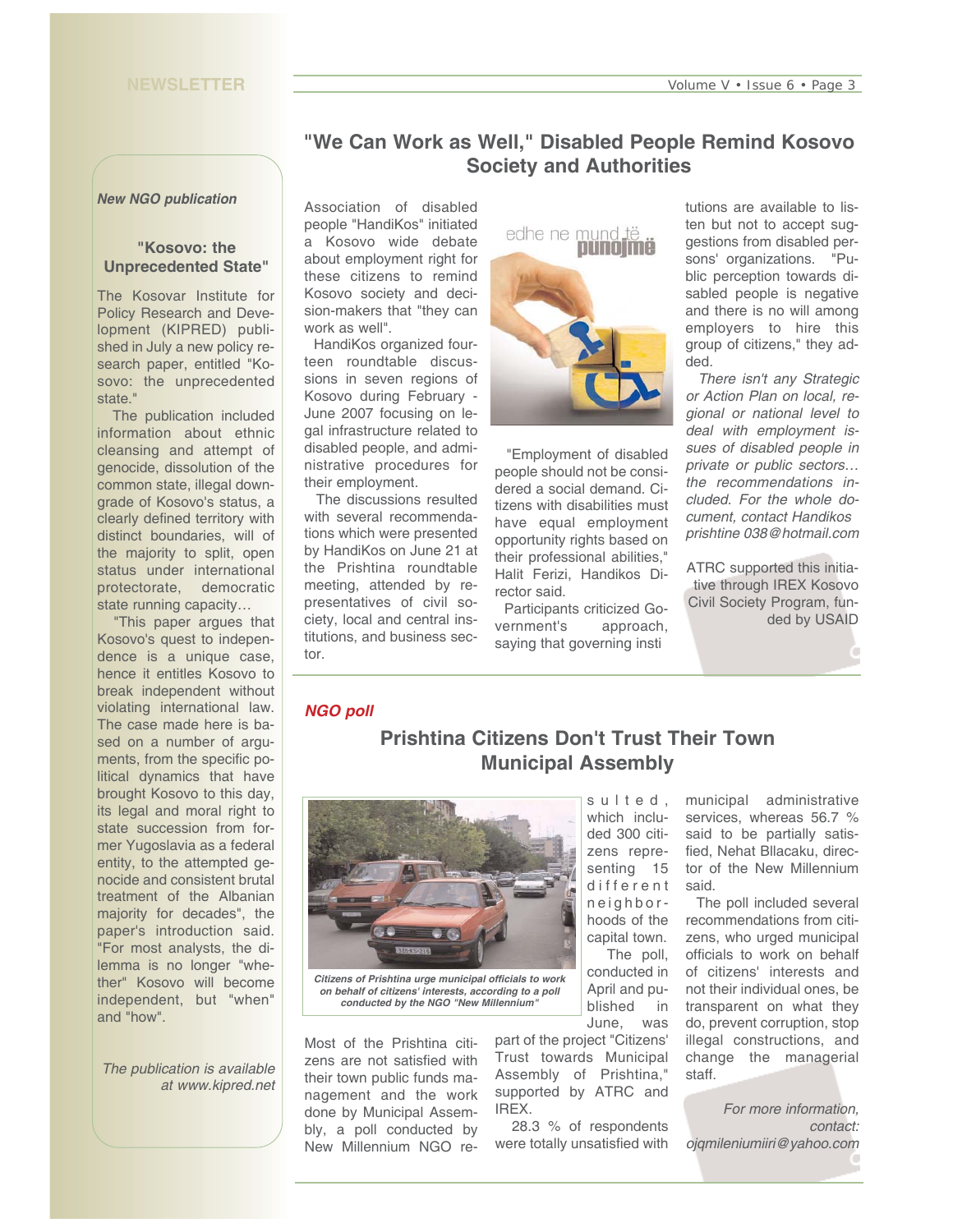### *New NGO publication*

### **"Kosovo: the Unprecedented State"**

The Kosovar Institute for Policy Research and Development (KIPRED) published in July a new policy research paper, entitled "Kosovo: the unprecedented state."

The publication included information about ethnic cleansing and attempt of genocide, dissolution of the common state, illegal downgrade of Kosovo's status, a clearly defined territory with distinct boundaries, will of the majority to split, open status under international protectorate, democratic state running capacity…

"This paper argues that Kosovo's quest to independence is a unique case, hence it entitles Kosovo to break independent without violating international law. The case made here is based on a number of arguments, from the specific political dynamics that have brought Kosovo to this day, its legal and moral right to state succession from former Yugoslavia as a federal entity, to the attempted genocide and consistent brutal treatment of the Albanian majority for decades", the paper's introduction said. "For most analysts, the dilemma is no longer "whether" Kosovo will become independent, but "when" and "how".

*The publication is available at www.kipred.net* 

# **"We Can Work as Well," Disabled People Remind Kosovo Society and Authorities**

Association of disabled people "HandiKos" initiated a Kosovo wide debate about employment right for these citizens to remind Kosovo society and decision-makers that "they can work as well".

HandiKos organized fourteen roundtable discussions in seven regions of Kosovo during February - June 2007 focusing on legal infrastructure related to disabled people, and administrative procedures for their employment.

The discussions resulted with several recommendations which were presented by HandiKos on June 21 at the Prishtina roundtable meeting, attended by representatives of civil society, local and central institutions, and business sector.



"Employment of disabled people should not be considered a social demand. Citizens with disabilities must have equal employment opportunity rights based on their professional abilities," Halit Ferizi, Handikos Director said.

Participants criticized Government's approach, saying that governing insti

tutions are available to listen but not to accept suggestions from disabled persons' organizations. "Public perception towards disabled people is negative and there is no will among employers to hire this group of citizens," they added.

*There isn't any Strategic or Action Plan on local, regional or national level to deal with employment issues of disabled people in private or public sectors… the recommendations included. For the whole document, contact Handikos prishtine 038@hotmail.com*

ATRC supported this initiative through IREX Kosovo Civil Society Program, funded by USAID

### *NGO poll*

# **Prishtina Citizens Don't Trust Their Town Municipal Assembly**



*Citizens of Prishtina urge municipal officials to work on behalf of citizens' interests, according to a poll conducted by the NGO "New Millennium"*

Most of the Prishtina citizens are not satisfied with their town public funds management and the work done by Municipal Assembly, a poll conducted by New Millennium NGO re-

which included 300 citizens representing 15 different neighborhoods of the capital town. The poll, conducted in April and published in June, was

part of the project "Citizens' Trust towards Municipal Assembly of Prishtina," supported by ATRC and IREX.

28.3 % of respondents were totally unsatisfied with

municipal administrative services, whereas 56.7 % said to be partially satisfied, Nehat Bllacaku, director of the New Millennium said.

The poll included several recommendations from citizens, who urged municipal officials to work on behalf of citizens' interests and not their individual ones, be transparent on what they do, prevent corruption, stop illegal constructions, and change the managerial staff.

*For more information, contact: ojqmileniumiiri@yahoo.com*